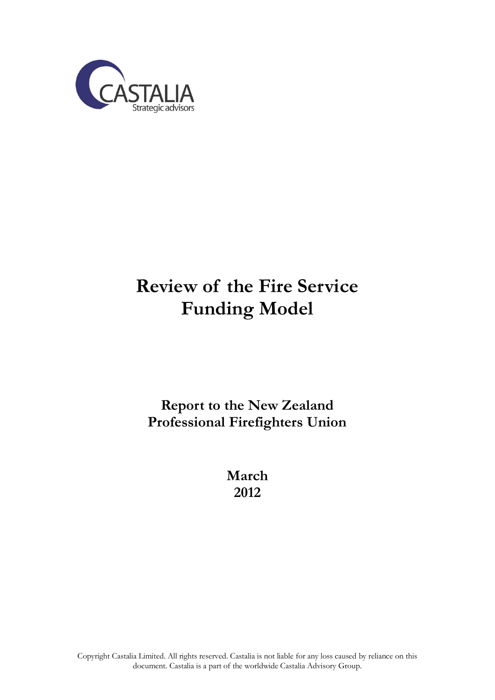

# **Review of the Fire Service Funding Model**

### **Report to the New Zealand Professional Firefighters Union**

**March 2012**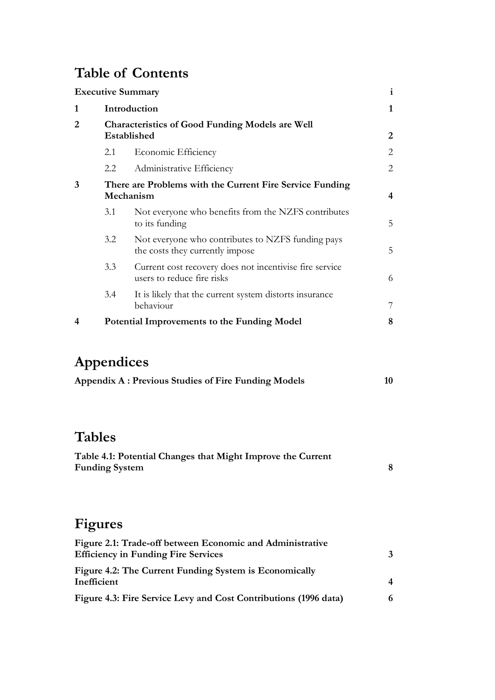# **Table of Contents**

|                |                                                                       | <b>Executive Summary</b>                                                              | i              |  |
|----------------|-----------------------------------------------------------------------|---------------------------------------------------------------------------------------|----------------|--|
| 1              |                                                                       | Introduction                                                                          |                |  |
| $\overline{2}$ | Characteristics of Good Funding Models are Well<br>Established        |                                                                                       |                |  |
|                | 2.1                                                                   | Economic Efficiency                                                                   | $\overline{2}$ |  |
|                | 2.2                                                                   | Administrative Efficiency                                                             | $\overline{2}$ |  |
| 3              | There are Problems with the Current Fire Service Funding<br>Mechanism |                                                                                       |                |  |
|                | 3.1                                                                   | Not everyone who benefits from the NZFS contributes<br>to its funding                 | 5              |  |
|                | 3.2                                                                   | Not everyone who contributes to NZFS funding pays<br>the costs they currently impose  | 5              |  |
|                | 3.3                                                                   | Current cost recovery does not incentivise fire service<br>users to reduce fire risks | 6              |  |
|                | 3.4                                                                   | It is likely that the current system distorts insurance<br>behaviour                  | 7              |  |
| 4              | Potential Improvements to the Funding Model                           |                                                                                       | 8              |  |
|                | Appendices                                                            | <b>Appendix A: Previous Studies of Fire Funding Models</b>                            | 10             |  |
|                | <b>Tables</b>                                                         |                                                                                       |                |  |
|                | <b>Funding System</b>                                                 | Table 4.1: Potential Changes that Might Improve the Current                           | 8              |  |

# **Figures**

| Figure 2.1: Trade-off between Economic and Administrative<br><b>Efficiency in Funding Fire Services</b> | 3 |
|---------------------------------------------------------------------------------------------------------|---|
| Figure 4.2: The Current Funding System is Economically<br>Inefficient                                   | 4 |
| Figure 4.3: Fire Service Levy and Cost Contributions (1996 data)                                        | 6 |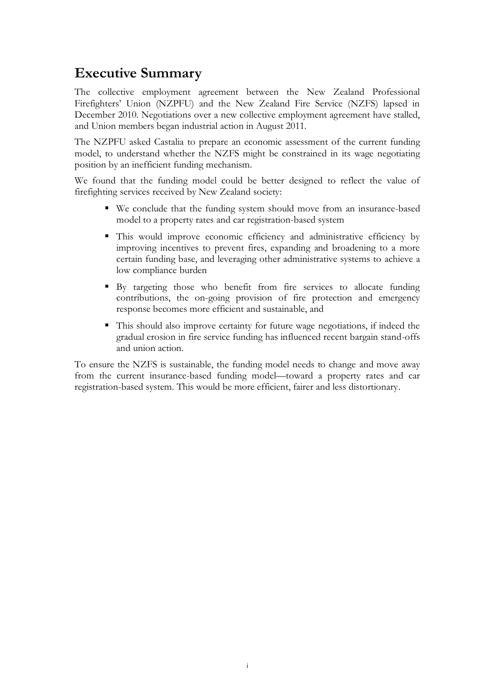### <span id="page-3-0"></span>**Executive Summary**

The collective employment agreement between the New Zealand Professional Firefighters' Union (NZPFU) and the New Zealand Fire Service (NZFS) lapsed in December 2010. Negotiations over a new collective employment agreement have stalled, and Union members began industrial action in August 2011.

The NZPFU asked Castalia to prepare an economic assessment of the current funding model, to understand whether the NZFS might be constrained in its wage negotiating position by an inefficient funding mechanism.

We found that the funding model could be better designed to reflect the value of firefighting services received by New Zealand society:

- We conclude that the funding system should move from an insurance-based model to a property rates and car registration-based system
- This would improve economic efficiency and administrative efficiency by improving incentives to prevent fires, expanding and broadening to a more certain funding base, and leveraging other administrative systems to achieve a low compliance burden
- By targeting those who benefit from fire services to allocate funding contributions, the on-going provision of fire protection and emergency response becomes more efficient and sustainable, and
- This should also improve certainty for future wage negotiations, if indeed the gradual erosion in fire service funding has influenced recent bargain stand-offs and union action.

To ensure the NZFS is sustainable, the funding model needs to change and move away from the current insurance-based funding model—toward a property rates and car registration-based system. This would be more efficient, fairer and less distortionary.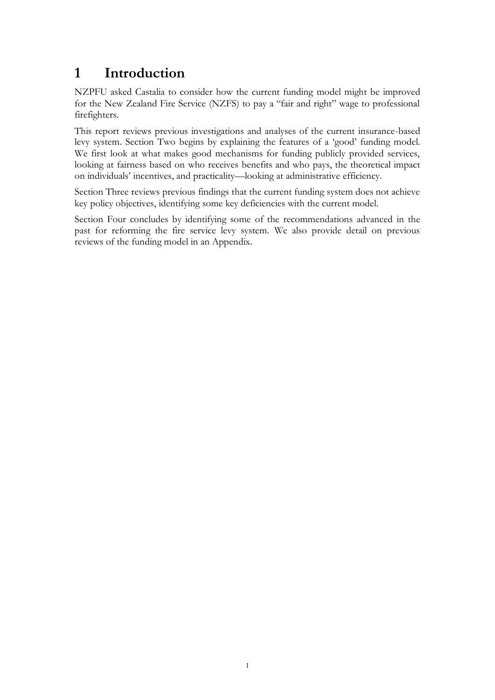### <span id="page-4-0"></span>**1 Introduction**

NZPFU asked Castalia to consider how the current funding model might be improved for the New Zealand Fire Service (NZFS) to pay a "fair and right" wage to professional firefighters.

This report reviews previous investigations and analyses of the current insurance-based levy system. Section Two begins by explaining the features of a 'good' funding model. We first look at what makes good mechanisms for funding publicly provided services, looking at fairness based on who receives benefits and who pays, the theoretical impact on individuals' incentives, and practicality—looking at administrative efficiency.

Section Three reviews previous findings that the current funding system does not achieve key policy objectives, identifying some key deficiencies with the current model.

Section Four concludes by identifying some of the recommendations advanced in the past for reforming the fire service levy system. We also provide detail on previous reviews of the funding model in an Appendix.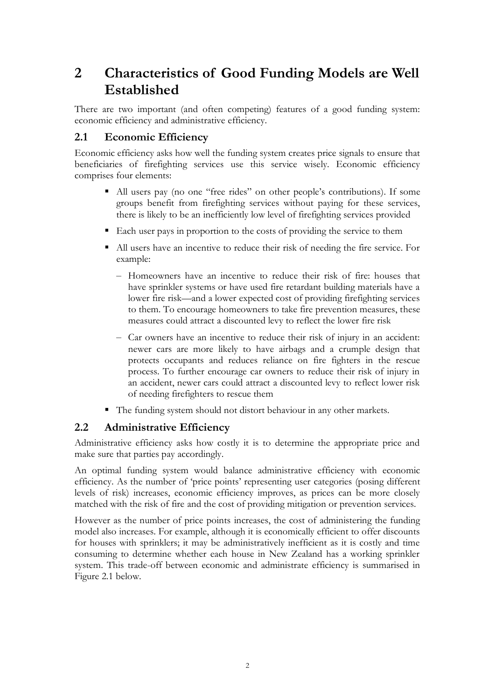### <span id="page-5-0"></span>**2 Characteristics of Good Funding Models are Well Established**

There are two important (and often competing) features of a good funding system: economic efficiency and administrative efficiency.

### <span id="page-5-1"></span>**2.1 Economic Efficiency**

Economic efficiency asks how well the funding system creates price signals to ensure that beneficiaries of firefighting services use this service wisely. Economic efficiency comprises four elements:

- All users pay (no one "free rides" on other people's contributions). If some groups benefit from firefighting services without paying for these services, there is likely to be an inefficiently low level of firefighting services provided
- Each user pays in proportion to the costs of providing the service to them
- All users have an incentive to reduce their risk of needing the fire service. For example:
	- Homeowners have an incentive to reduce their risk of fire: houses that have sprinkler systems or have used fire retardant building materials have a lower fire risk—and a lower expected cost of providing firefighting services to them. To encourage homeowners to take fire prevention measures, these measures could attract a discounted levy to reflect the lower fire risk
	- Car owners have an incentive to reduce their risk of injury in an accident: newer cars are more likely to have airbags and a crumple design that protects occupants and reduces reliance on fire fighters in the rescue process. To further encourage car owners to reduce their risk of injury in an accident, newer cars could attract a discounted levy to reflect lower risk of needing firefighters to rescue them
- The funding system should not distort behaviour in any other markets.

#### <span id="page-5-2"></span>**2.2 Administrative Efficiency**

Administrative efficiency asks how costly it is to determine the appropriate price and make sure that parties pay accordingly.

An optimal funding system would balance administrative efficiency with economic efficiency. As the number of 'price points' representing user categories (posing different levels of risk) increases, economic efficiency improves, as prices can be more closely matched with the risk of fire and the cost of providing mitigation or prevention services.

However as the number of price points increases, the cost of administering the funding model also increases. For example, although it is economically efficient to offer discounts for houses with sprinklers; it may be administratively inefficient as it is costly and time consuming to determine whether each house in New Zealand has a working sprinkler system. This trade-off between economic and administrate efficiency is summarised in [Figure 2.1](#page-6-0) below.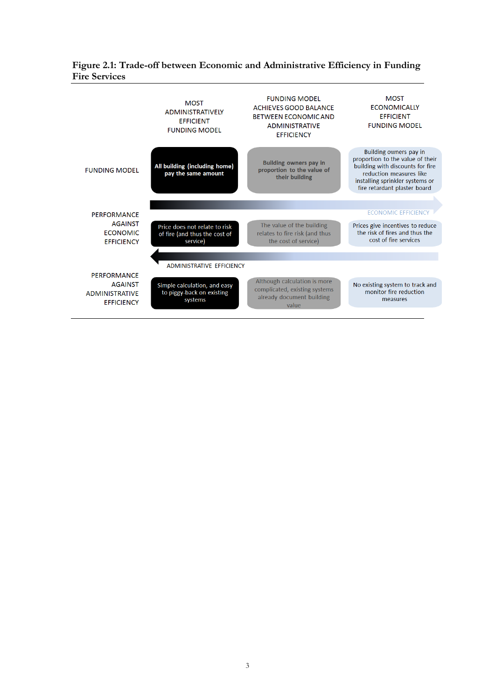#### <span id="page-6-0"></span>**Figure 2.1: Trade-off between Economic and Administrative Efficiency in Funding Fire Services**

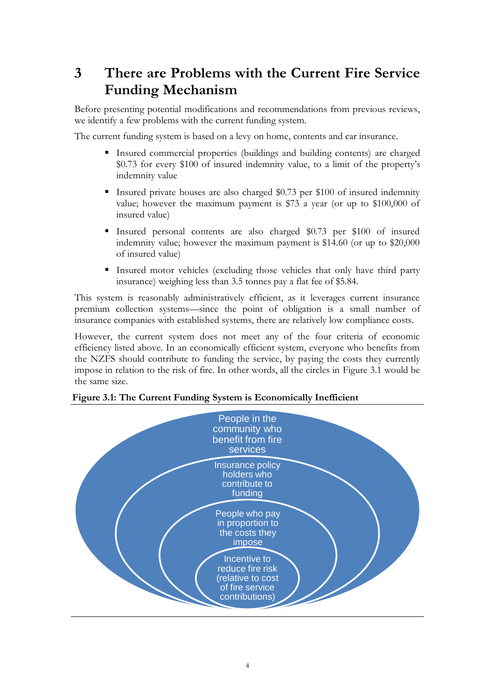### <span id="page-7-0"></span>**3 There are Problems with the Current Fire Service Funding Mechanism**

Before presenting potential modifications and recommendations from previous reviews, we identify a few problems with the current funding system.

The current funding system is based on a levy on home, contents and car insurance.

- Insured commercial properties (buildings and building contents) are charged \$0.73 for every \$100 of insured indemnity value, to a limit of the property's indemnity value
- Insured private houses are also charged \$0.73 per \$100 of insured indemnity value; however the maximum payment is \$73 a year (or up to \$100,000 of insured value)
- Insured personal contents are also charged \$0.73 per \$100 of insured indemnity value; however the maximum payment is \$14.60 (or up to \$20,000 of insured value)
- Insured motor vehicles (excluding those vehicles that only have third party insurance) weighing less than 3.5 tonnes pay a flat fee of \$5.84.

This system is reasonably administratively efficient, as it leverages current insurance premium collection systems—since the point of obligation is a small number of insurance companies with established systems, there are relatively low compliance costs.

However, the current system does not meet any of the four criteria of economic efficiency listed above. In an economically efficient system, everyone who benefits from the NZFS should contribute to funding the service, by paying the costs they currently impose in relation to the risk of fire. In other words, all the circles in [Figure 3.1](#page-7-1) would be the same size.



#### <span id="page-7-1"></span>**Figure 3.1: The Current Funding System is Economically Inefficient**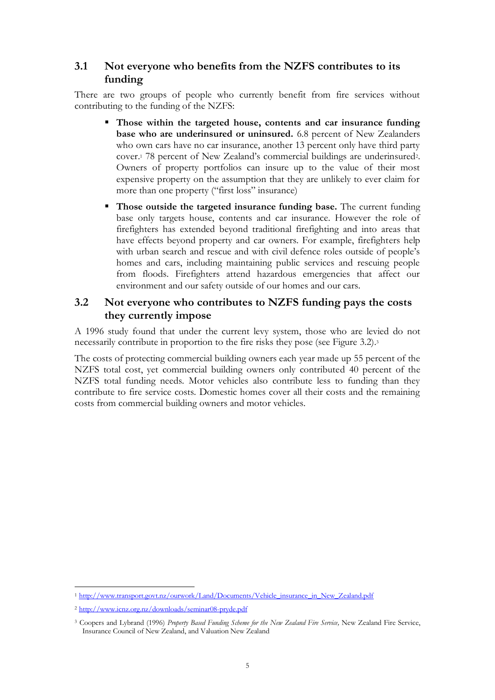### <span id="page-8-0"></span>**3.1 Not everyone who benefits from the NZFS contributes to its funding**

There are two groups of people who currently benefit from fire services without contributing to the funding of the NZFS:

- **Those within the targeted house, contents and car insurance funding base who are underinsured or uninsured.** 6.8 percent of New Zealanders who own cars have no car insurance, another 13 percent only have third party cover.<sup>1</sup> 78 percent of New Zealand's commercial buildings are underinsured2. Owners of property portfolios can insure up to the value of their most expensive property on the assumption that they are unlikely to ever claim for more than one property ("first loss" insurance)
- **Those outside the targeted insurance funding base.** The current funding base only targets house, contents and car insurance. However the role of firefighters has extended beyond traditional firefighting and into areas that have effects beyond property and car owners. For example, firefighters help with urban search and rescue and with civil defence roles outside of people's homes and cars, including maintaining public services and rescuing people from floods. Firefighters attend hazardous emergencies that affect our environment and our safety outside of our homes and our cars.

### <span id="page-8-1"></span>**3.2 Not everyone who contributes to NZFS funding pays the costs they currently impose**

A 1996 study found that under the current levy system, those who are levied do not necessarily contribute in proportion to the fire risks they pose (see [Figure 3.2\)](#page-9-1). 3

The costs of protecting commercial building owners each year made up 55 percent of the NZFS total cost, yet commercial building owners only contributed 40 percent of the NZFS total funding needs. Motor vehicles also contribute less to funding than they contribute to fire service costs. Domestic homes cover all their costs and the remaining costs from commercial building owners and motor vehicles.

 $\overline{a}$ <sup>1</sup> [http://www.transport.govt.nz/ourwork/Land/Documents/Vehicle\\_insurance\\_in\\_New\\_Zealand.pdf](http://www.transport.govt.nz/ourwork/Land/Documents/Vehicle_insurance_in_New_Zealand.pdf)

<sup>2</sup> <http://www.icnz.org.nz/downloads/seminar08-pryde.pdf>

<sup>3</sup> Coopers and Lybrand (1996) *Property Based Funding Scheme for the New Zealand Fire Service,* New Zealand Fire Service, Insurance Council of New Zealand, and Valuation New Zealand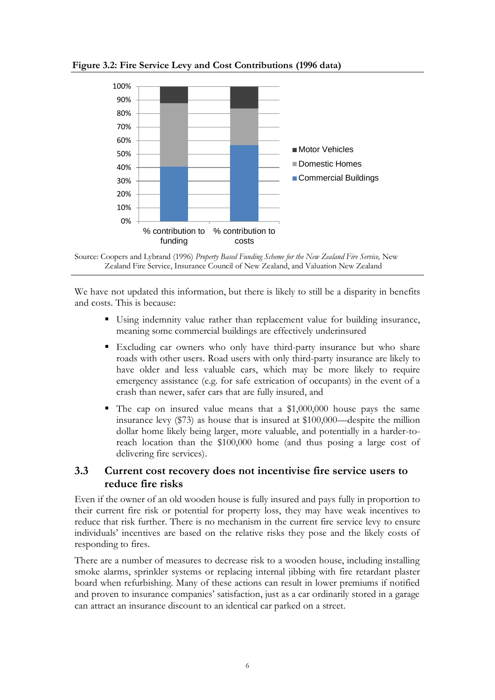

<span id="page-9-1"></span>**Figure 3.2: Fire Service Levy and Cost Contributions (1996 data)**

We have not updated this information, but there is likely to still be a disparity in benefits and costs. This is because:

- Using indemnity value rather than replacement value for building insurance, meaning some commercial buildings are effectively underinsured
- Excluding car owners who only have third-party insurance but who share roads with other users. Road users with only third-party insurance are likely to have older and less valuable cars, which may be more likely to require emergency assistance (e.g. for safe extrication of occupants) in the event of a crash than newer, safer cars that are fully insured, and
- The cap on insured value means that a \$1,000,000 house pays the same insurance levy (\$73) as house that is insured at \$100,000—despite the million dollar home likely being larger, more valuable, and potentially in a harder-toreach location than the \$100,000 home (and thus posing a large cost of delivering fire services).

#### <span id="page-9-0"></span>**3.3 Current cost recovery does not incentivise fire service users to reduce fire risks**

Even if the owner of an old wooden house is fully insured and pays fully in proportion to their current fire risk or potential for property loss, they may have weak incentives to reduce that risk further. There is no mechanism in the current fire service levy to ensure individuals' incentives are based on the relative risks they pose and the likely costs of responding to fires.

There are a number of measures to decrease risk to a wooden house, including installing smoke alarms, sprinkler systems or replacing internal jibbing with fire retardant plaster board when refurbishing. Many of these actions can result in lower premiums if notified and proven to insurance companies' satisfaction, just as a car ordinarily stored in a garage can attract an insurance discount to an identical car parked on a street.

Source: Coopers and Lybrand (1996) *Property Based Funding Scheme for the New Zealand Fire Service*, New Zealand Fire Service, Insurance Council of New Zealand, and Valuation New Zealand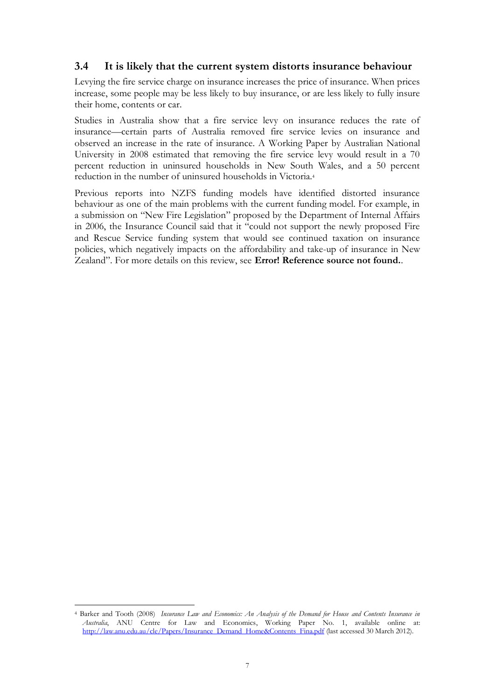#### <span id="page-10-0"></span>**3.4 It is likely that the current system distorts insurance behaviour**

Levying the fire service charge on insurance increases the price of insurance. When prices increase, some people may be less likely to buy insurance, or are less likely to fully insure their home, contents or car.

Studies in Australia show that a fire service levy on insurance reduces the rate of insurance—certain parts of Australia removed fire service levies on insurance and observed an increase in the rate of insurance. A Working Paper by Australian National University in 2008 estimated that removing the fire service levy would result in a 70 percent reduction in uninsured households in New South Wales, and a 50 percent reduction in the number of uninsured households in Victoria.<sup>4</sup>

Previous reports into NZFS funding models have identified distorted insurance behaviour as one of the main problems with the current funding model. For example, in a submission on "New Fire Legislation" proposed by the Department of Internal Affairs in 2006, the Insurance Council said that it "could not support the newly proposed Fire and Rescue Service funding system that would see continued taxation on insurance policies, which negatively impacts on the affordability and take-up of insurance in New Zealand". For more details on this review, see **Error! Reference source not found.**.

 $\overline{a}$ 

<sup>4</sup> Barker and Tooth (2008) *Insurance Law and Economics: An Analysis of the Demand for House and Contents Insurance in Australia*, ANU Centre for Law and Economics, Working Paper No. 1, available online at: [http://law.anu.edu.au/cle/Papers/Insurance\\_Demand\\_Home&Contents\\_Fina.pdf](http://law.anu.edu.au/cle/Papers/Insurance_Demand_Home&Contents_Fina.pdf) (last accessed 30 March 2012).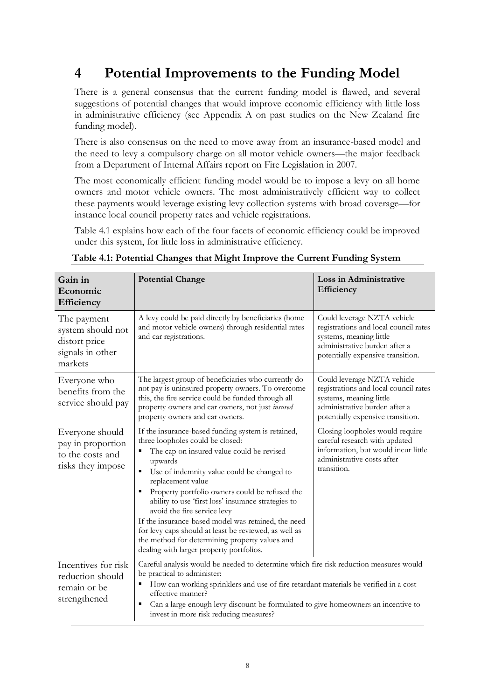### <span id="page-11-0"></span>**4 Potential Improvements to the Funding Model**

There is a general consensus that the current funding model is flawed, and several suggestions of potential changes that would improve economic efficiency with little loss in administrative efficiency (see Appendix A on past studies on the New Zealand fire funding model).

There is also consensus on the need to move away from an insurance-based model and the need to levy a compulsory charge on all motor vehicle owners—the major feedback from a Department of Internal Affairs report on Fire Legislation in 2007.

The most economically efficient funding model would be to impose a levy on all home owners and motor vehicle owners. The most administratively efficient way to collect these payments would leverage existing levy collection systems with broad coverage—for instance local council property rates and vehicle registrations.

Table 4.1 explains how each of the four facets of economic efficiency could be improved under this system, for little loss in administrative efficiency.

| Gain in<br>Economic<br>Efficiency                                                | <b>Potential Change</b>                                                                                                                                                                                                                                                                                                                                                                                                                                                                                                                                                                | Loss in Administrative<br>Efficiency                                                                                                                                  |  |  |
|----------------------------------------------------------------------------------|----------------------------------------------------------------------------------------------------------------------------------------------------------------------------------------------------------------------------------------------------------------------------------------------------------------------------------------------------------------------------------------------------------------------------------------------------------------------------------------------------------------------------------------------------------------------------------------|-----------------------------------------------------------------------------------------------------------------------------------------------------------------------|--|--|
| The payment<br>system should not<br>distort price<br>signals in other<br>markets | A levy could be paid directly by beneficiaries (home<br>and motor vehicle owners) through residential rates<br>and car registrations.                                                                                                                                                                                                                                                                                                                                                                                                                                                  | Could leverage NZTA vehicle<br>registrations and local council rates<br>systems, meaning little<br>administrative burden after a<br>potentially expensive transition. |  |  |
| Everyone who<br>benefits from the<br>service should pay                          | The largest group of beneficiaries who currently do<br>not pay is uninsured property owners. To overcome<br>this, the fire service could be funded through all<br>property owners and car owners, not just insured<br>property owners and car owners.                                                                                                                                                                                                                                                                                                                                  | Could leverage NZTA vehicle<br>registrations and local council rates<br>systems, meaning little<br>administrative burden after a<br>potentially expensive transition. |  |  |
| Everyone should<br>pay in proportion<br>to the costs and<br>risks they impose    | If the insurance-based funding system is retained,<br>three loopholes could be closed:<br>The cap on insured value could be revised<br>п<br>upwards<br>Use of indemnity value could be changed to<br>п<br>replacement value<br>Property portfolio owners could be refused the<br>п<br>ability to use 'first loss' insurance strategies to<br>avoid the fire service levy<br>If the insurance-based model was retained, the need<br>for levy caps should at least be reviewed, as well as<br>the method for determining property values and<br>dealing with larger property portfolios. | Closing loopholes would require<br>careful research with updated<br>information, but would incur little<br>administrative costs after<br>transition.                  |  |  |
| Incentives for risk<br>reduction should<br>remain or be<br>strengthened          | Careful analysis would be needed to determine which fire risk reduction measures would<br>be practical to administer:<br>How can working sprinklers and use of fire retardant materials be verified in a cost<br>٠<br>effective manner?<br>Can a large enough levy discount be formulated to give homeowners an incentive to<br>в<br>invest in more risk reducing measures?                                                                                                                                                                                                            |                                                                                                                                                                       |  |  |

<span id="page-11-1"></span>

| Table 4.1: Potential Changes that Might Improve the Current Funding System |  |  |
|----------------------------------------------------------------------------|--|--|
|                                                                            |  |  |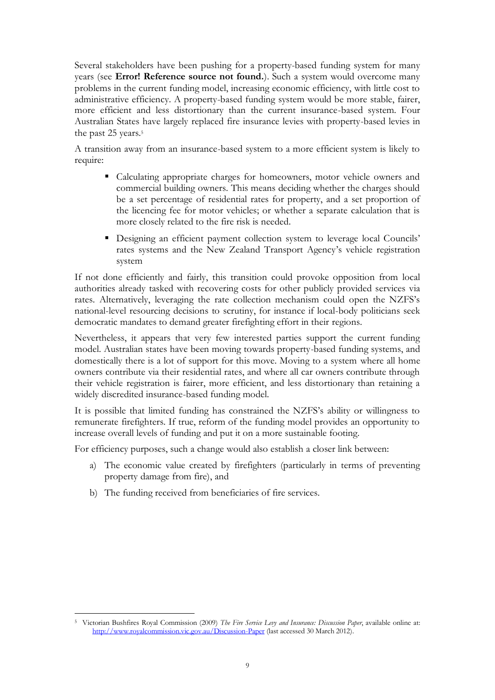Several stakeholders have been pushing for a property-based funding system for many years (see **Error! Reference source not found.**). Such a system would overcome many problems in the current funding model, increasing economic efficiency, with little cost to administrative efficiency. A property-based funding system would be more stable, fairer, more efficient and less distortionary than the current insurance-based system. Four Australian States have largely replaced fire insurance levies with property-based levies in the past 25 years.<sup>5</sup>

A transition away from an insurance-based system to a more efficient system is likely to require:

- Calculating appropriate charges for homeowners, motor vehicle owners and commercial building owners. This means deciding whether the charges should be a set percentage of residential rates for property, and a set proportion of the licencing fee for motor vehicles; or whether a separate calculation that is more closely related to the fire risk is needed.
- Designing an efficient payment collection system to leverage local Councils' rates systems and the New Zealand Transport Agency's vehicle registration system

If not done efficiently and fairly, this transition could provoke opposition from local authorities already tasked with recovering costs for other publicly provided services via rates. Alternatively, leveraging the rate collection mechanism could open the NZFS's national-level resourcing decisions to scrutiny, for instance if local-body politicians seek democratic mandates to demand greater firefighting effort in their regions.

Nevertheless, it appears that very few interested parties support the current funding model. Australian states have been moving towards property-based funding systems, and domestically there is a lot of support for this move. Moving to a system where all home owners contribute via their residential rates, and where all car owners contribute through their vehicle registration is fairer, more efficient, and less distortionary than retaining a widely discredited insurance-based funding model.

It is possible that limited funding has constrained the NZFS's ability or willingness to remunerate firefighters. If true, reform of the funding model provides an opportunity to increase overall levels of funding and put it on a more sustainable footing.

For efficiency purposes, such a change would also establish a closer link between:

- a) The economic value created by firefighters (particularly in terms of preventing property damage from fire), and
- b) The funding received from beneficiaries of fire services.

 $\overline{a}$ 

<sup>5</sup> Victorian Bushfires Royal Commission (2009) *The Fire Service Levy and Insurance: Discussion Paper*, available online at: <http://www.royalcommission.vic.gov.au/Discussion-Paper> (last accessed 30 March 2012).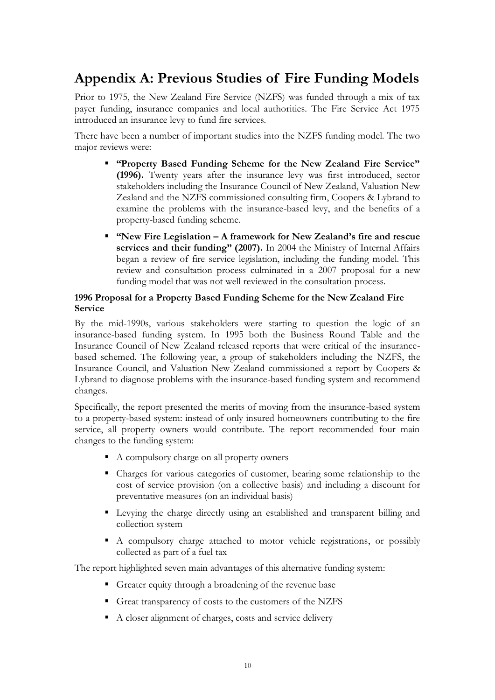### <span id="page-13-0"></span>**Appendix A: Previous Studies of Fire Funding Models**

Prior to 1975, the New Zealand Fire Service (NZFS) was funded through a mix of tax payer funding, insurance companies and local authorities. The Fire Service Act 1975 introduced an insurance levy to fund fire services.

There have been a number of important studies into the NZFS funding model. The two major reviews were:

- **"Property Based Funding Scheme for the New Zealand Fire Service" (1996).** Twenty years after the insurance levy was first introduced, sector stakeholders including the Insurance Council of New Zealand, Valuation New Zealand and the NZFS commissioned consulting firm, Coopers & Lybrand to examine the problems with the insurance-based levy, and the benefits of a property-based funding scheme.
- **"New Fire Legislation – A framework for New Zealand's fire and rescue services and their funding" (2007).** In 2004 the Ministry of Internal Affairs began a review of fire service legislation, including the funding model. This review and consultation process culminated in a 2007 proposal for a new funding model that was not well reviewed in the consultation process.

#### **1996 Proposal for a Property Based Funding Scheme for the New Zealand Fire Service**

By the mid-1990s, various stakeholders were starting to question the logic of an insurance-based funding system. In 1995 both the Business Round Table and the Insurance Council of New Zealand released reports that were critical of the insurancebased schemed. The following year, a group of stakeholders including the NZFS, the Insurance Council, and Valuation New Zealand commissioned a report by Coopers & Lybrand to diagnose problems with the insurance-based funding system and recommend changes.

Specifically, the report presented the merits of moving from the insurance-based system to a property-based system: instead of only insured homeowners contributing to the fire service, all property owners would contribute. The report recommended four main changes to the funding system:

- A compulsory charge on all property owners
- Charges for various categories of customer, bearing some relationship to the cost of service provision (on a collective basis) and including a discount for preventative measures (on an individual basis)
- Levying the charge directly using an established and transparent billing and collection system
- A compulsory charge attached to motor vehicle registrations, or possibly collected as part of a fuel tax

The report highlighted seven main advantages of this alternative funding system:

- Greater equity through a broadening of the revenue base
- Great transparency of costs to the customers of the NZFS
- A closer alignment of charges, costs and service delivery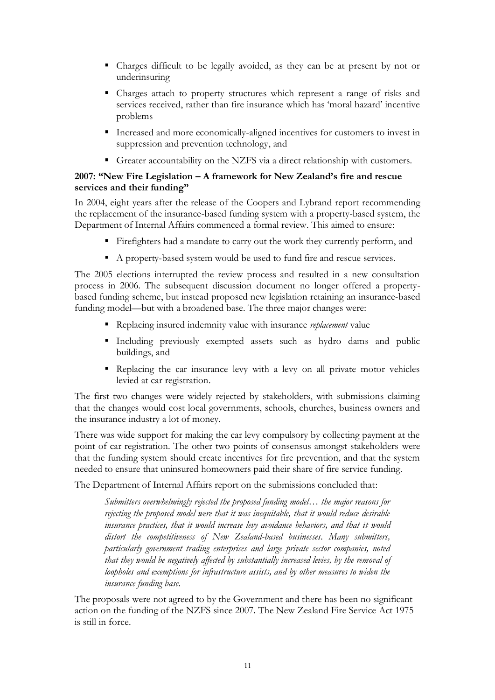- Charges difficult to be legally avoided, as they can be at present by not or underinsuring
- Charges attach to property structures which represent a range of risks and services received, rather than fire insurance which has 'moral hazard' incentive problems
- Increased and more economically-aligned incentives for customers to invest in suppression and prevention technology, and
- Greater accountability on the NZFS via a direct relationship with customers.

#### **2007: "New Fire Legislation – A framework for New Zealand's fire and rescue services and their funding"**

In 2004, eight years after the release of the Coopers and Lybrand report recommending the replacement of the insurance-based funding system with a property-based system, the Department of Internal Affairs commenced a formal review. This aimed to ensure:

- Firefighters had a mandate to carry out the work they currently perform, and
- A property-based system would be used to fund fire and rescue services.

The 2005 elections interrupted the review process and resulted in a new consultation process in 2006. The subsequent discussion document no longer offered a propertybased funding scheme, but instead proposed new legislation retaining an insurance-based funding model—but with a broadened base. The three major changes were:

- Replacing insured indemnity value with insurance *replacement* value
- Including previously exempted assets such as hydro dams and public buildings, and
- Replacing the car insurance levy with a levy on all private motor vehicles levied at car registration.

The first two changes were widely rejected by stakeholders, with submissions claiming that the changes would cost local governments, schools, churches, business owners and the insurance industry a lot of money.

There was wide support for making the car levy compulsory by collecting payment at the point of car registration. The other two points of consensus amongst stakeholders were that the funding system should create incentives for fire prevention, and that the system needed to ensure that uninsured homeowners paid their share of fire service funding.

The Department of Internal Affairs report on the submissions concluded that:

*Submitters overwhelmingly rejected the proposed funding model… the major reasons for rejecting the proposed model were that it was inequitable, that it would reduce desirable insurance practices, that it would increase levy avoidance behaviors, and that it would distort the competitiveness of New Zealand-based businesses. Many submitters, particularly government trading enterprises and large private sector companies, noted that they would be negatively affected by substantially increased levies, by the removal of loopholes and exemptions for infrastructure assists, and by other measures to widen the insurance funding base.*

The proposals were not agreed to by the Government and there has been no significant action on the funding of the NZFS since 2007. The New Zealand Fire Service Act 1975 is still in force.